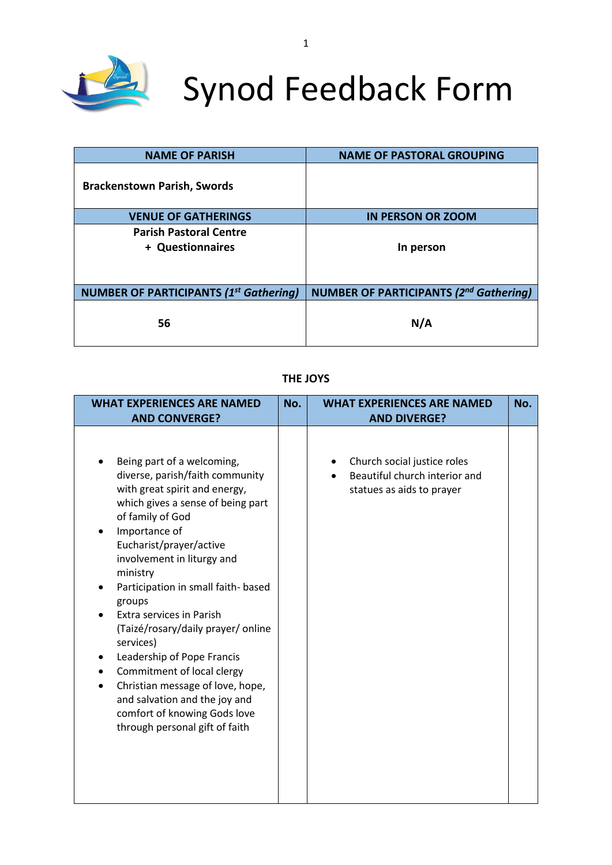

# Synod Feedback Form

| <b>NAME OF PARISH</b>                             | <b>NAME OF PASTORAL GROUPING</b>              |
|---------------------------------------------------|-----------------------------------------------|
| <b>Brackenstown Parish, Swords</b>                |                                               |
| <b>VENUE OF GATHERINGS</b>                        | <b>IN PERSON OR ZOOM</b>                      |
| <b>Parish Pastoral Centre</b><br>+ Questionnaires | In person                                     |
| <b>NUMBER OF PARTICIPANTS (1st Gathering)</b>     | <b>NUMBER OF PARTICIPANTS (2nd Gathering)</b> |
| 56                                                | N/A                                           |

## **THE JOYS**

| <b>WHAT EXPERIENCES ARE NAMED</b><br><b>AND CONVERGE?</b>                                                                                                                                                                                                                                                                                                                                                                                                                                                                                                                                     | No. | <b>WHAT EXPERIENCES ARE NAMED</b><br><b>AND DIVERGE?</b>                                  |  |  |  |
|-----------------------------------------------------------------------------------------------------------------------------------------------------------------------------------------------------------------------------------------------------------------------------------------------------------------------------------------------------------------------------------------------------------------------------------------------------------------------------------------------------------------------------------------------------------------------------------------------|-----|-------------------------------------------------------------------------------------------|--|--|--|
| Being part of a welcoming,<br>diverse, parish/faith community<br>with great spirit and energy,<br>which gives a sense of being part<br>of family of God<br>Importance of<br>Eucharist/prayer/active<br>involvement in liturgy and<br>ministry<br>Participation in small faith- based<br>groups<br>Extra services in Parish<br>(Taizé/rosary/daily prayer/ online<br>services)<br>Leadership of Pope Francis<br>Commitment of local clergy<br>Christian message of love, hope,<br>$\bullet$<br>and salvation and the joy and<br>comfort of knowing Gods love<br>through personal gift of faith |     | Church social justice roles<br>Beautiful church interior and<br>statues as aids to prayer |  |  |  |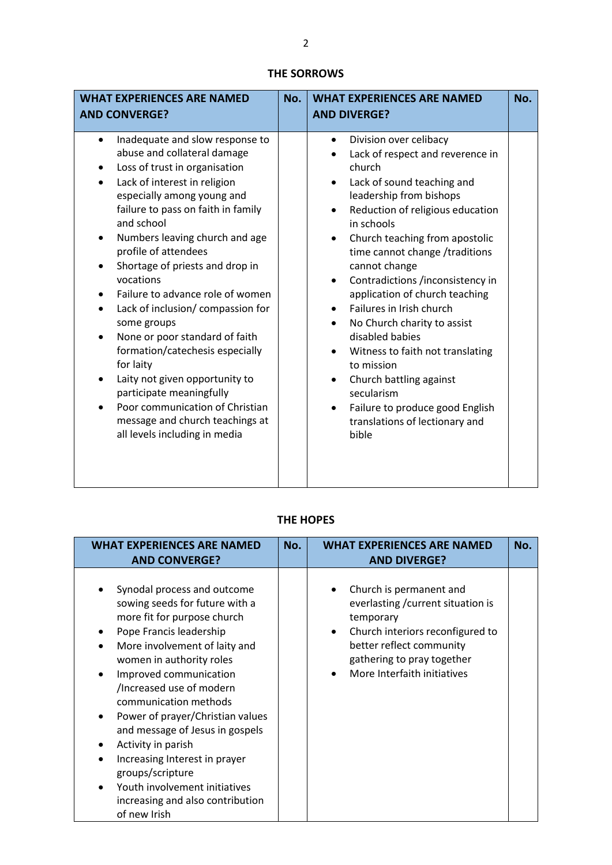## **THE SORROWS**

| <b>WHAT EXPERIENCES ARE NAMED</b>                                                                                                                                                                                                                                                                                                                                                                                                                                                                                                                                                                                                                                                                                 | No. | <b>WHAT EXPERIENCES ARE NAMED</b>                                                                                                                                                                                                                                                                                                                                                                                                                                                                                                                                                                                                                                                                         |  |  |
|-------------------------------------------------------------------------------------------------------------------------------------------------------------------------------------------------------------------------------------------------------------------------------------------------------------------------------------------------------------------------------------------------------------------------------------------------------------------------------------------------------------------------------------------------------------------------------------------------------------------------------------------------------------------------------------------------------------------|-----|-----------------------------------------------------------------------------------------------------------------------------------------------------------------------------------------------------------------------------------------------------------------------------------------------------------------------------------------------------------------------------------------------------------------------------------------------------------------------------------------------------------------------------------------------------------------------------------------------------------------------------------------------------------------------------------------------------------|--|--|
| <b>AND CONVERGE?</b>                                                                                                                                                                                                                                                                                                                                                                                                                                                                                                                                                                                                                                                                                              |     | <b>AND DIVERGE?</b>                                                                                                                                                                                                                                                                                                                                                                                                                                                                                                                                                                                                                                                                                       |  |  |
| Inadequate and slow response to<br>$\bullet$<br>abuse and collateral damage<br>Loss of trust in organisation<br>Lack of interest in religion<br>especially among young and<br>failure to pass on faith in family<br>and school<br>Numbers leaving church and age<br>profile of attendees<br>Shortage of priests and drop in<br>vocations<br>Failure to advance role of women<br>Lack of inclusion/ compassion for<br>$\bullet$<br>some groups<br>None or poor standard of faith<br>formation/catechesis especially<br>for laity<br>Laity not given opportunity to<br>$\bullet$<br>participate meaningfully<br>Poor communication of Christian<br>message and church teachings at<br>all levels including in media |     | Division over celibacy<br>$\bullet$<br>Lack of respect and reverence in<br>church<br>Lack of sound teaching and<br>$\bullet$<br>leadership from bishops<br>Reduction of religious education<br>$\bullet$<br>in schools<br>Church teaching from apostolic<br>$\bullet$<br>time cannot change /traditions<br>cannot change<br>Contradictions /inconsistency in<br>$\bullet$<br>application of church teaching<br>Failures in Irish church<br>No Church charity to assist<br>disabled babies<br>Witness to faith not translating<br>$\bullet$<br>to mission<br>Church battling against<br>$\bullet$<br>secularism<br>Failure to produce good English<br>$\bullet$<br>translations of lectionary and<br>bible |  |  |

## **THE HOPES**

| <b>WHAT EXPERIENCES ARE NAMED</b><br><b>AND CONVERGE?</b>                                                                                                                                                                                                                                                                                                                                                                                                                                                                            | No. | <b>WHAT EXPERIENCES ARE NAMED</b><br><b>AND DIVERGE?</b>                                                                                                                                                             | No. |
|--------------------------------------------------------------------------------------------------------------------------------------------------------------------------------------------------------------------------------------------------------------------------------------------------------------------------------------------------------------------------------------------------------------------------------------------------------------------------------------------------------------------------------------|-----|----------------------------------------------------------------------------------------------------------------------------------------------------------------------------------------------------------------------|-----|
| Synodal process and outcome<br>sowing seeds for future with a<br>more fit for purpose church<br>Pope Francis leadership<br>More involvement of laity and<br>women in authority roles<br>Improved communication<br>/Increased use of modern<br>communication methods<br>Power of prayer/Christian values<br>$\bullet$<br>and message of Jesus in gospels<br>Activity in parish<br>Increasing Interest in prayer<br>groups/scripture<br>Youth involvement initiatives<br>$\bullet$<br>increasing and also contribution<br>of new Irish |     | Church is permanent and<br>everlasting / current situation is<br>temporary<br>Church interiors reconfigured to<br>$\bullet$<br>better reflect community<br>gathering to pray together<br>More Interfaith initiatives |     |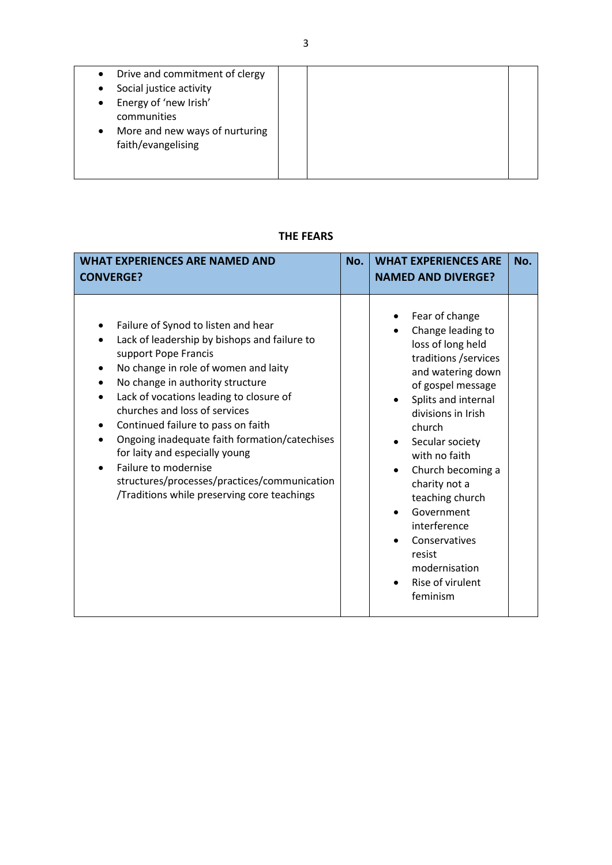| Drive and commitment of clergy<br>$\bullet$ |  |
|---------------------------------------------|--|
| Social justice activity<br>٠                |  |
| Energy of 'new Irish'<br>$\bullet$          |  |
| communities                                 |  |
| More and new ways of nurturing<br>$\bullet$ |  |
| faith/evangelising                          |  |
|                                             |  |
|                                             |  |

## **THE FEARS**

| <b>WHAT EXPERIENCES ARE NAMED AND</b><br><b>CONVERGE?</b>                                                                                                                                                                                                                                                                                                                                                                                                                                                                                                  | No. | <b>WHAT EXPERIENCES ARE</b><br><b>NAMED AND DIVERGE?</b>                                                                                                                                                                                                                                                                                                                                               | No. |
|------------------------------------------------------------------------------------------------------------------------------------------------------------------------------------------------------------------------------------------------------------------------------------------------------------------------------------------------------------------------------------------------------------------------------------------------------------------------------------------------------------------------------------------------------------|-----|--------------------------------------------------------------------------------------------------------------------------------------------------------------------------------------------------------------------------------------------------------------------------------------------------------------------------------------------------------------------------------------------------------|-----|
| Failure of Synod to listen and hear<br>Lack of leadership by bishops and failure to<br>$\bullet$<br>support Pope Francis<br>No change in role of women and laity<br>$\bullet$<br>No change in authority structure<br>Lack of vocations leading to closure of<br>$\bullet$<br>churches and loss of services<br>Continued failure to pass on faith<br>Ongoing inadequate faith formation/catechises<br>for laity and especially young<br>Failure to modernise<br>structures/processes/practices/communication<br>/Traditions while preserving core teachings |     | Fear of change<br>Change leading to<br>loss of long held<br>traditions / services<br>and watering down<br>of gospel message<br>Splits and internal<br>divisions in Irish<br>church<br>Secular society<br>with no faith<br>Church becoming a<br>$\bullet$<br>charity not a<br>teaching church<br>Government<br>interference<br>Conservatives<br>resist<br>modernisation<br>Rise of virulent<br>feminism |     |